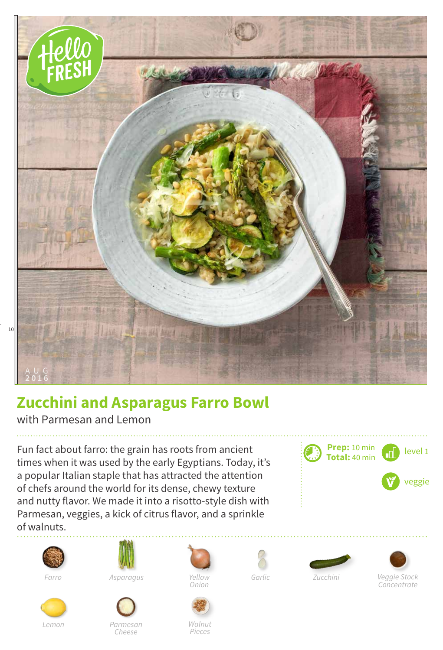

## **Zucchini and Asparagus Farro Bowl**

with Parmesan and Lemon

Fun fact about farro: the grain has roots from ancient times when it was used by the early Egyptians. Today, it's a popular Italian staple that has attracted the attention of chefs around the world for its dense, chewy texture and nutty flavor. We made it into a risotto-style dish with Parmesan, veggies, a kick of citrus flavor, and a sprinkle of walnuts.





*Farro Asparagus*











*Yellow Zucchini*

*Concentrate*

*Cheese*

*Walnut Pieces*